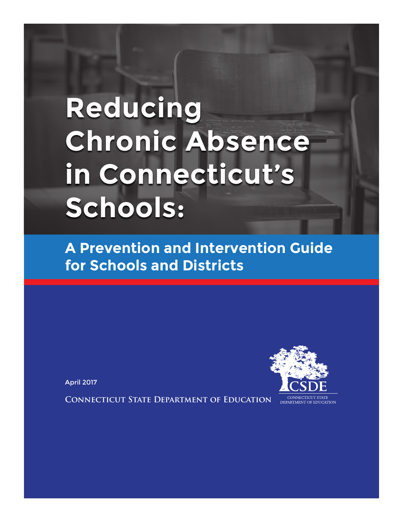# **Reducing Chronic Absence in Connecticut's Schools:**

**A Prevention and Intervention Guide for Schools and Districts**

April 2017

**Connecticut State Department of Education**

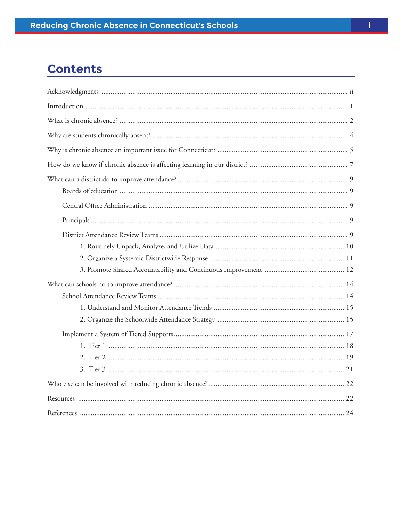### **Contents**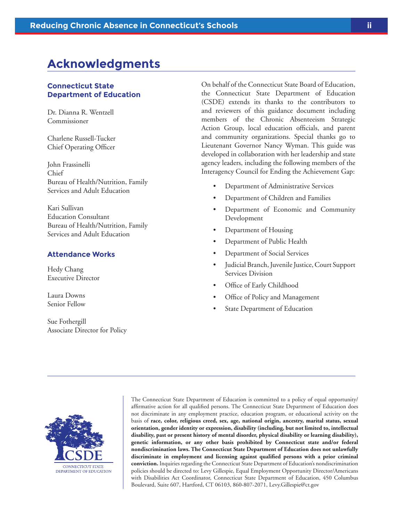### <span id="page-2-0"></span>**Acknowledgments**

#### **Connecticut State Department of Education**

Dr. Dianna R. Wentzell Commissioner

Charlene Russell-Tucker Chief Operating Officer

John Frassinelli Chief Bureau of Health/Nutrition, Family Services and Adult Education

Kari Sullivan Education Consultant Bureau of Health/Nutrition, Family Services and Adult Education

#### **Attendance Works**

Hedy Chang Executive Director

Laura Downs Senior Fellow

Sue Fothergill Associate Director for Policy On behalf of the Connecticut State Board of Education, the Connecticut State Department of Education (CSDE) extends its thanks to the contributors to and reviewers of this guidance document including members of the Chronic Absenteeism Strategic Action Group, local education officials, and parent and community organizations. Special thanks go to Lieutenant Governor Nancy Wyman. This guide was developed in collaboration with her leadership and state agency leaders, including the following members of the Interagency Council for Ending the Achievement Gap:

- Department of Administrative Services
- Department of Children and Families
- Department of Economic and Community Development
- Department of Housing
- Department of Public Health
- Department of Social Services
- Judicial Branch, Juvenile Justice, Court Support Services Division
- Office of Early Childhood
- Office of Policy and Management
- State Department of Education



The Connecticut State Department of Education is committed to a policy of equal opportunity/ affirmative action for all qualified persons. The Connecticut State Department of Education does not discriminate in any employment practice, education program, or educational activity on the basis of **race, color, religious creed, sex, age, national origin, ancestry, marital status, sexual orientation, gender identity or expression, disability (including, but not limited to, intellectual disability, past or present history of mental disorder, physical disability or learning disability), genetic information, or any other basis prohibited by Connecticut state and/or federal nondiscrimination laws. The Connecticut State Department of Education does not unlawfully discriminate in employment and licensing against qualified persons with a prior criminal conviction.** Inquiries regarding the Connecticut State Department of Education's nondiscrimination policies should be directed to: Levy Gillespie, Equal Employment Opportunity Director/Americans with Disabilities Act Coordinator, Connecticut State Department of Education, 450 Columbus Boulevard, Suite 607, Hartford, CT 06103, 860-807-2071, Levy.Gillespie@ct.gov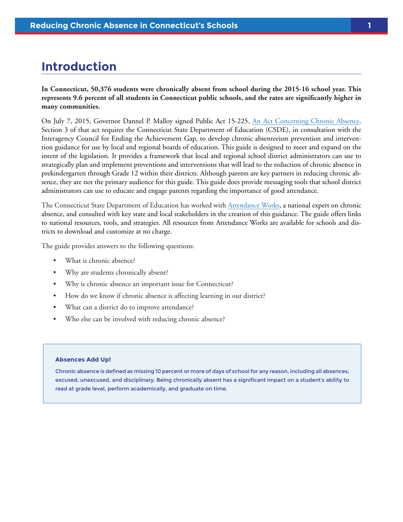### <span id="page-3-0"></span>**Introduction**

**In Connecticut, 50,376 students were chronically absent from school during the 2015-16 school year. This represents 9.6 percent of all students in Connecticut public schools, and the rates are significantly higher in many communities.**

On July 7, 2015, Governor Dannel P. Malloy signed Public Act 15-225, [An Act Concerning Chronic Absence](https://www.cga.ct.gov/2015/ACT/pa/pdf/2015PA-00225-R00SB-01058-PA.pdf). Section 3 of that act requires the Connecticut State Department of Education (CSDE), in consultation with the Interagency Council for Ending the Achievement Gap, to develop chronic absenteeism prevention and intervention guidance for use by local and regional boards of education. This guide is designed to meet and expand on the intent of the legislation. It provides a framework that local and regional school district administrators can use to strategically plan and implement preventions and interventions that will lead to the reduction of chronic absence in prekindergarten through Grade 12 within their districts. Although parents are key partners in reducing chronic absence, they are not the primary audience for this guide. This guide does provide messaging tools that school district administrators can use to educate and engage parents regarding the importance of good attendance.

The Connecticut State Department of Education has worked with [Attendance Works,](http://www.attendanceworks.org) a national expert on chronic absence, and consulted with key state and local stakeholders in the creation of this guidance. The guide offers links to national resources, tools, and strategies. All resources from Attendance Works are available for schools and districts to download and customize at no charge.

The guide provides answers to the following questions:

- What is chronic absence?
- Why are students chronically absent?
- Why is chronic absence an important issue for Connecticut?
- How do we know if chronic absence is affecting learning in our district?
- What can a district do to improve attendance?
- Who else can be involved with reducing chronic absence?

#### **Absences Add Up!**

Chronic absence is defined as missing 10 percent or more of days of school for any reason, including all absences, excused, unexcused, and disciplinary. Being chronically absent has a significant impact on a student's ability to read at grade level, perform academically, and graduate on time.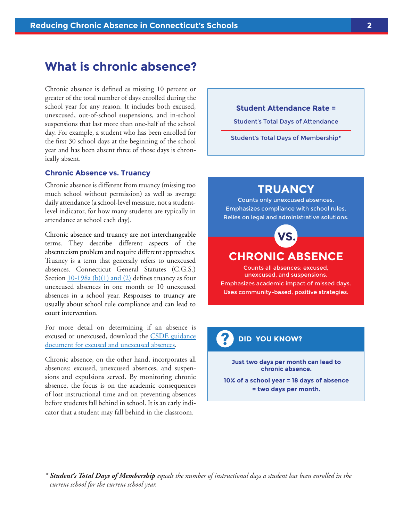### <span id="page-4-0"></span>**What is chronic absence?**

Chronic absence is defined as missing 10 percent or greater of the total number of days enrolled during the school year for any reason. It includes both excused, unexcused, out-of-school suspensions, and in-school suspensions that last more than one-half of the school day. For example, a student who has been enrolled for the first 30 school days at the beginning of the school year and has been absent three of those days is chronically absent.

#### **Chronic Absence vs. Truancy**

Chronic absence is different from truancy (missing too much school without permission) as well as average daily attendance (a school-level measure, not a studentlevel indicator, for how many students are typically in attendance at school each day).

Chronic absence and truancy are not interchangeable terms. They describe different aspects of the absenteeism problem and require different approaches. Truancy is a term that generally refers to unexcused absences. Connecticut General Statutes (C.G.S.) Section [10-198a \(b\)\(1\) and \(2\)](https://www.cga.ct.gov/current/pub/chap_168.htm#sec_10-198b) defines truancy as four unexcused absences in one month or 10 unexcused absences in a school year. Responses to truancy are usually about school rule compliance and can lead to court intervention.

For more detail on determining if an absence is excused or unexcused, download the [CSDE guidance](http://www.sde.ct.gov/sde/lib/sde/pdf/publications/guidelines_excused_and_unexcused_absences.pdf)  [document for excused and unexcused absences.](http://www.sde.ct.gov/sde/lib/sde/pdf/publications/guidelines_excused_and_unexcused_absences.pdf)

Chronic absence, on the other hand, incorporates all absences: excused, unexcused absences, and suspensions and expulsions served. By monitoring chronic absence, the focus is on the academic consequences of lost instructional time and on preventing absences before students fall behind in school. It is an early indicator that a student may fall behind in the classroom.

#### **Student Attendance Rate =**

Student's Total Days of Attendance

Student's Total Days of Membership**\***

### **TRUANCY**

Counts only unexcused absences. Emphasizes compliance with school rules. Relies on legal and administrative solutions.



### **CHRONIC ABSENCE**

Counts all absences: excused, unexcused, and suspensions. Emphasizes academic impact of missed days. Uses community-based, positive strategies.

### **? DID YOU KNOW?**

**Just two days per month can lead to chronic absence.**

**10% of a school year = 18 days of absence = two days per month.**

*\* Student's Total Days of Membership equals the number of instructional days a student has been enrolled in the current school for the current school year.*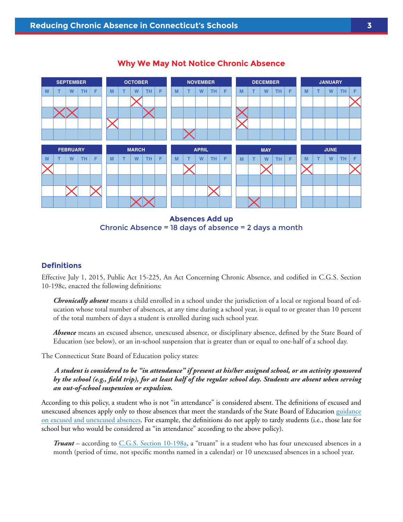

#### **Why We May Not Notice Chronic Absence**

Chronic Absence = 18 days of absence = 2 days a month

#### **Definitions**

Effective July 1, 2015, Public Act 15-225, An Act Concerning Chronic Absence, and codified in C.G.S. Section 10-198c, enacted the following definitions:

*Chronically absent* means a child enrolled in a school under the jurisdiction of a local or regional board of education whose total number of absences, at any time during a school year, is equal to or greater than 10 percent of the total numbers of days a student is enrolled during such school year.

*Absence* means an excused absence, unexcused absence, or disciplinary absence, defined by the State Board of Education (see below), or an in-school suspension that is greater than or equal to one-half of a school day.

The Connecticut State Board of Education policy states:

*A student is considered to be "in attendance" if present at his/her assigned school, or an activity sponsored by the school (e.g., field trip), for at least half of the regular school day. Students are absent when serving an out-of-school suspension or expulsion.* 

According to this policy, a student who is not "in attendance" is considered absent. The definitions of excused and unexcused absences apply only to those absences that meet the standards of the State Board of Education [guidance](http://www.sde.ct.gov/sde/lib/sde/pdf/publications/guidelines_excused_and_unexcused_absences.pdf) [on excused and unexcused absences.](http://www.sde.ct.gov/sde/lib/sde/pdf/publications/guidelines_excused_and_unexcused_absences.pdf) For example, the definitions do not apply to tardy students (i.e., those late for school but who would be considered as "in attendance" according to the above policy).

*Truant* – according to [C.G.S. Section 10-198a,](https://www.cga.ct.gov/current/pub/chap_168.htm#sec_10-198a) a "truant" is a student who has four unexcused absences in a month (period of time, not specific months named in a calendar) or 10 unexcused absences in a school year.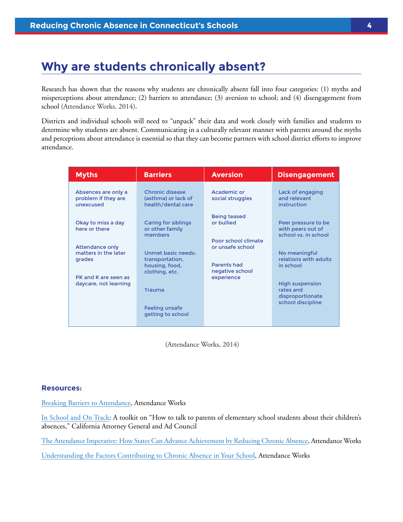### <span id="page-6-0"></span>**Why are students chronically absent?**

Research has shown that the reasons why students are chronically absent fall into four categories: (1) myths and misperceptions about attendance; (2) barriers to attendance; (3) aversion to school; and (4) disengagement from school (Attendance Works, 2014).

Districts and individual schools will need to "unpack" their data and work closely with families and students to determine why students are absent. Communicating in a culturally relevant manner with parents around the myths and perceptions about attendance is essential so that they can become partners with school district efforts to improve attendance.

| <b>Myths</b>                                             | <b>Barriers</b>                                                           | <b>Aversion</b>                                           | <b>Disengagement</b>                                             |
|----------------------------------------------------------|---------------------------------------------------------------------------|-----------------------------------------------------------|------------------------------------------------------------------|
| Absences are only a<br>problem if they are<br>unexcused  | Chronic disease<br>(asthma) or lack of<br>health/dental care              | Academic or<br>social struggles                           | Lack of engaging<br>and relevant<br>instruction                  |
| Okay to miss a day<br>here or there                      | <b>Caring for siblings</b><br>or other family<br>members                  | <b>Being teased</b><br>or bullied<br>Poor school climate  | Peer pressure to be<br>with peers out of<br>school vs. in school |
| <b>Attendance only</b><br>matters in the later<br>grades | Unmet basic needs:<br>transportation,<br>housing, food,<br>clothing, etc. | or unsafe school<br><b>Parents had</b><br>negative school | No meaningful<br>relations with adults<br>in school              |
| PK and K are seen as<br>daycare, not learning            | <b>Trauma</b>                                                             | experience                                                | <b>High suspension</b><br>rates and<br>disproportionate          |
|                                                          | <b>Feeling unsafe</b><br>getting to school                                |                                                           | school discipline                                                |

(Attendance Works, 2014)

#### **Resources:**

[Breaking Barriers to Attendance,](http://www.attendanceworks.org/wordpress/wp-content/uploads/2013/04/BreakingBarrierstoattendance.pdf) Attendance Works

[In School and On Track](http://oag.ca.gov/truancy/toolkit): A toolkit on "How to talk to parents of elementary school students about their children's absences," California Attorney General and Ad Council

[The Attendance Imperative: How States Can Advance Achievement by Reducing Chronic Absence,](http://www.attendanceworks.org/wordpress/wp-content/uploads/2013/09/AAM-Policy-Brief-091214-2.pdf) Attendance Works

[Understanding the Factors Contributing to Chronic Absence in Your School](http://www.attendanceworks.org/wordpress/wp-content/uploads/2010/05/ID-Cont-Factors-DEC-2010-.pdf), Attendance Works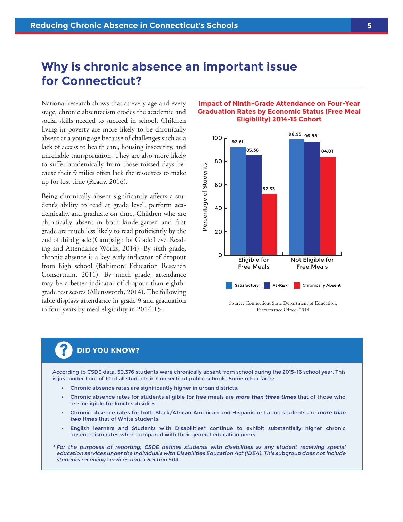### <span id="page-7-0"></span>**Why is chronic absence an important issue for Connecticut?**

National research shows that at every age and every stage, chronic absenteeism erodes the academic and social skills needed to succeed in school. Children living in poverty are more likely to be chronically absent at a young age because of challenges such as a lack of access to health care, housing insecurity, and unreliable transportation. They are also more likely to suffer academically from those missed days because their families often lack the resources to make up for lost time (Ready, 2016).

Being chronically absent significantly affects a student's ability to read at grade level, perform academically, and graduate on time. Children who are chronically absent in both kindergarten and first grade are much less likely to read proficiently by the end of third grade (Campaign for Grade Level Reading and Attendance Works, 2014). By sixth grade, chronic absence is a key early indicator of dropout from high school (Baltimore Education Research Consortium, 2011). By ninth grade, attendance may be a better indicator of dropout than eighthgrade test scores (Allensworth, 2014). The following table displays attendance in grade 9 and graduation in four years by meal eligibility in 2014-15.

#### **Impact of Ninth-Grade Attendance on Four-Year Graduation Rates by Economic Status (Free Meal Eligibility) 2014-15 Cohort**



## **? DID YOU KNOW?**

According to CSDE data, 50,376 students were chronically absent from school during the 2015–16 school year. This is just under 1 out of 10 of all students in Connecticut public schools. Some other facts:

- Chronic absence rates are significantly higher in urban districts.
- Chronic absence rates for students eligible for free meals are **more than three times** that of those who are ineligible for lunch subsidies.
- Chronic absence rates for both Black/African American and Hispanic or Latino students are **more than two times** that of White students.
- English learners and Students with Disabilities**\*** continue to exhibit substantially higher chronic absenteeism rates when compared with their general education peers.
- **\*** For the purposes of reporting, CSDE defines students with disabilities as any student receiving special education services under the Individuals with Disabilities Education Act (IDEA). This subgroup does not include students receiving services under Section 504.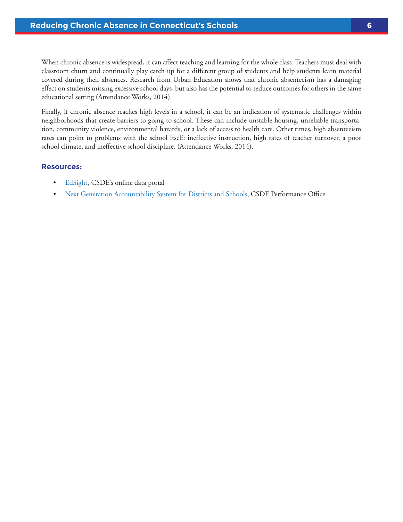When chronic absence is widespread, it can affect teaching and learning for the whole class. Teachers must deal with classroom churn and continually play catch up for a different group of students and help students learn material covered during their absences. Research from Urban Education shows that chronic absenteeism has a damaging effect on students missing excessive school days, but also has the potential to reduce outcomes for others in the same educational setting (Attendance Works, 2014).

Finally, if chronic absence reaches high levels in a school, it can be an indication of systematic challenges within neighborhoods that create barriers to going to school. These can include unstable housing, unreliable transportation, community violence, environmental hazards, or a lack of access to health care. Other times, high absenteeism rates can point to problems with the school itself: ineffective instruction, high rates of teacher turnover, a poor school climate, and ineffective school discipline. (Attendance Works, 2014).

#### **Resources:**

- [EdSight,](http://edsight.ct.gov/SASPortal/main.do) CSDE's online data portal
- [Next Generation Accountability System for Districts and Schools,](http://www.sde.ct.gov/sde/cwp/view.asp?a=2683&Q=334346) CSDE Performance Office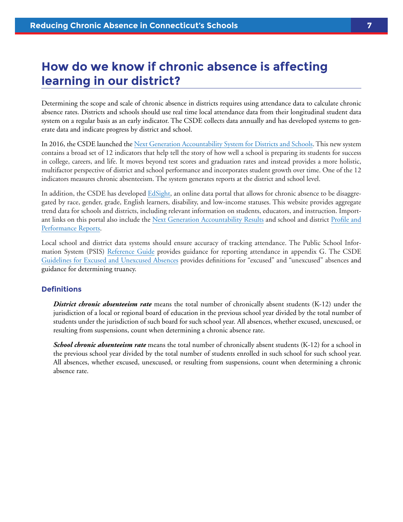### <span id="page-9-0"></span>**How do we know if chronic absence is affecting learning in our district?**

Determining the scope and scale of chronic absence in districts requires using attendance data to calculate chronic absence rates. Districts and schools should use real time local attendance data from their longitudinal student data system on a regular basis as an early indicator. The CSDE collects data annually and has developed systems to generate data and indicate progress by district and school.

In 2016, the CSDE launched the [Next Generation Accountability System for Districts and Schools](http://www.sde.ct.gov/sde/cwp/view.asp?a=2683&Q=334346). This new system contains a broad set of 12 indicators that help tell the story of how well a school is preparing its students for success in college, careers, and life. It moves beyond test scores and graduation rates and instead provides a more holistic, multifactor perspective of district and school performance and incorporates student growth over time. One of the 12 indicators measures chronic absenteeism. The system generates reports at the district and school level.

In addition, the CSDE has developed [EdSight,](http://edsight.ct.gov/SASPortal/main.do) an online data portal that allows for chronic absence to be disaggregated by race, gender, grade, English learners, disability, and low-income statuses. This website provides aggregate trend data for schools and districts, including relevant information on students, educators, and instruction. Important links on this portal also include the [Next Generation Accountability Results](http://www.sde.ct.gov/sde/lib/sde/excel/evalresearch/nextgenresults2014-15forpublicreleasefinal.xlsx) and school and district [Profile and](http://edsight.ct.gov/SASStoredProcess/do?_program=%2FCTDOE%2FEdSight%2FRelease%2FReporting%2FPublic%2FReports%2FStoredProcesses%2FProfilePerformanceReport&_year=2014-15&_district=All%20Districts&_select=Submit)  [Performance Reports](http://edsight.ct.gov/SASStoredProcess/do?_program=%2FCTDOE%2FEdSight%2FRelease%2FReporting%2FPublic%2FReports%2FStoredProcesses%2FProfilePerformanceReport&_year=2014-15&_district=All%20Districts&_select=Submit).

Local school and district data systems should ensure accuracy of tracking attendance. The Public School Information System (PSIS) [Reference Guide](http://www.csde.state.ct.us/public/psis/downloads/2016-17_PSIS_Record_Layout.pdf) provides guidance for reporting attendance in appendix G. The CSDE [Guidelines for Excused and Unexcused Absences](http://www.sde.ct.gov/sde/lib/sde/pdf/publications/guidelines_excused_and_unexcused_absences.pdf) provides definitions for "excused" and "unexcused" absences and guidance for determining truancy.

#### **Definitions**

**District chronic absenteeism rate** means the total number of chronically absent students (K-12) under the jurisdiction of a local or regional board of education in the previous school year divided by the total number of students under the jurisdiction of such board for such school year. All absences, whether excused, unexcused, or resulting from suspensions, count when determining a chronic absence rate.

*School chronic absenteeism rate* means the total number of chronically absent students (K-12) for a school in the previous school year divided by the total number of students enrolled in such school for such school year. All absences, whether excused, unexcused, or resulting from suspensions, count when determining a chronic absence rate.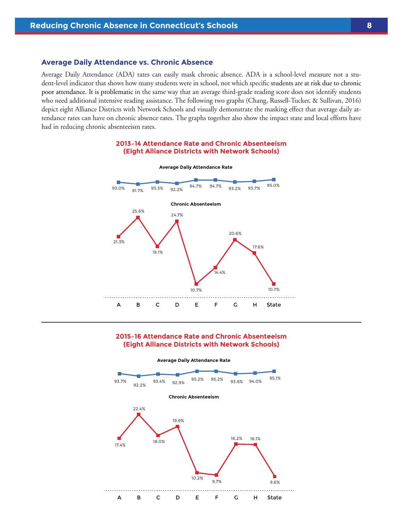#### **Average Daily Attendance vs. Chronic Absence**

Average Daily Attendance (ADA) rates can easily mask chronic absence. ADA is a school-level measure not a student-level indicator that shows how many students were in school, not which specific students are at risk due to chronic poor attendance. It is problematic in the same way that an average third-grade reading score does not identify students who need additional intensive reading assistance. The following two graphs (Chang, Russell-Tucker, & Sullivan, 2016) depict eight Alliance Districts with Network Schools and visually demonstrate the masking effect that average daily attendance rates can have on chronic absence rates. The graphs together also show the impact state and local efforts have had in reducing chronic absenteeism rates.

#### **2013–14 Attendance Rate and Chronic Absenteeism (Eight Alliance Districts with Network Schools)**



#### **2015–16 Attendance Rate and Chronic Absenteeism (Eight Alliance Districts with Network Schools)**

**Average Daily Attendance Rate**

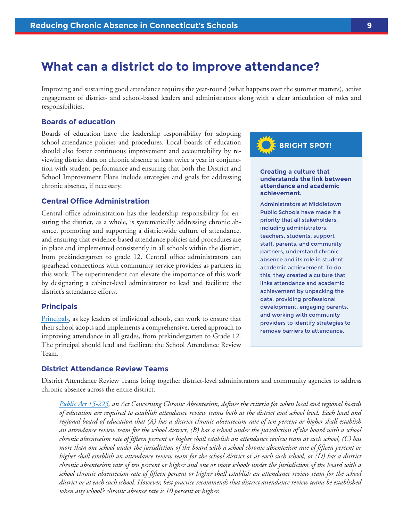### <span id="page-11-0"></span>**What can a district do to improve attendance?**

Improving and sustaining good attendance requires the year-round (what happens over the summer matters), active engagement of district- and school-based leaders and administrators along with a clear articulation of roles and responsibilities.

#### **Boards of education**

Boards of education have the leadership responsibility for adopting school attendance policies and procedures. Local boards of education should also foster continuous improvement and accountability by reviewing district data on chronic absence at least twice a year in conjunction with student performance and ensuring that both the District and School Improvement Plans include strategies and goals for addressing chronic absence, if necessary.

#### **Central Office Administration**

Central office administration has the leadership responsibility for ensuring the district, as a whole, is systematically addressing chronic absence, promoting and supporting a districtwide culture of attendance, and ensuring that evidence-based attendance policies and procedures are in place and implemented consistently in all schools within the district, from prekindergarten to grade 12. Central office administrators can spearhead connections with community service providers as partners in this work. The superintendent can elevate the importance of this work by designating a cabinet-level administrator to lead and facilitate the district's attendance efforts.

#### **Principals**

[Principals](http://www.attendanceworks.org/tools/schools/principals/), as key leaders of individual schools, can work to ensure that their school adopts and implements a comprehensive, tiered approach to improving attendance in all grades, from prekindergarten to Grade 12. The principal should lead and facilitate the School Attendance Review Team.

#### **District Attendance Review Teams**

District Attendance Review Teams bring together district-level administrators and community agencies to address chronic absence across the entire district.

*[Public Act 15-225,](https://www.cga.ct.gov/2015/ACT/pa/pdf/2015PA-00225-R00SB-01058-PA.pdf) an Act Concerning Chronic Absenteeism, defines the criteria for when local and regional boards of education are required to establish attendance review teams both at the district and school level. Each local and regional board of education that (A) has a district chronic absenteeism rate of ten percent or higher shall establish an attendance review team for the school district, (B) has a school under the jurisdiction of the board with a school chronic absenteeism rate of fifteen percent or higher shall establish an attendance review team at such school, (C) has more than one school under the jurisdiction of the board with a school chronic absenteeism rate of fifteen percent or higher shall establish an attendance review team for the school district or at each such school, or (D) has a district chronic absenteeism rate of ten percent or higher and one or more schools under the jurisdiction of the board with a school chronic absenteeism rate of fifteen percent or higher shall establish an attendance review team for the school district or at each such school. However, best practice recommends that district attendance review teams be established when any school's chronic absence rate is 10 percent or higher.* 

# **BRIGHT SPOT!**

#### **Creating a culture that understands the link between attendance and academic achievement.**

Administrators at Middletown Public Schools have made it a priority that all stakeholders, including administrators, teachers, students, support staff, parents, and community partners, understand chronic absence and its role in student academic achievement. To do this, they created a culture that links attendance and academic achievement by unpacking the data, providing professional development, engaging parents, and working with community providers to identify strategies to remove barriers to attendance.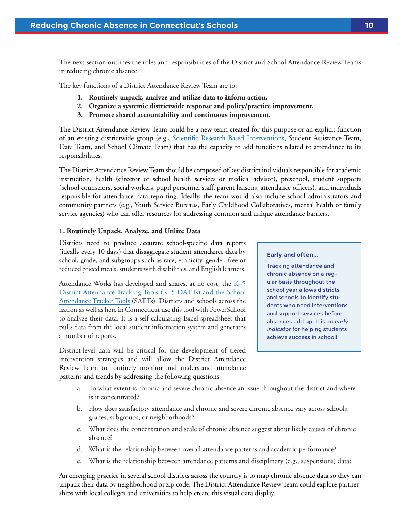<span id="page-12-0"></span>The next section outlines the roles and responsibilities of the District and School Attendance Review Teams in reducing chronic absence.

The key functions of a District Attendance Review Team are to:

- **1. Routinely unpack, analyze and utilize data to inform action.**
- **2. Organize a systemic districtwide response and policy/practice improvement.**
- **3. Promote shared accountability and continuous improvement.**

The District Attendance Review Team could be a new team created for this purpose or an explicit function of an existing districtwide group (e.g., [Scientific Research-Based Interventions,](http://www.sde.ct.gov/sde/cwp/view.asp?a=2618&q=322020) Student Assistance Team, Data Team, and School Climate Team) that has the capacity to add functions related to attendance to its responsibilities.

The District Attendance Review Team should be composed of key district individuals responsible for academic instruction, health (director of school health services or medical advisor), preschool, student supports (school counselors, social workers, pupil personnel staff, parent liaisons, attendance officers), and individuals responsible for attendance data reporting. Ideally, the team would also include school administrators and community partners (e.g., Youth Service Bureaus, Early Childhood Collaboratives, mental health or family service agencies) who can offer resources for addressing common and unique attendance barriers.

#### **1. Routinely Unpack, Analyze, and Utilize Data**

Districts need to produce accurate school-specific data reports (ideally every 10 days) that disaggregate student attendance data by school, grade, and subgroups such as race, ethnicity, gender, free or reduced priced meals, students with disabilities, and English learners.

Attendance Works has developed and shares, at no cost, the K-5 [District Attendance Tracking Tools \(K–5 DATTs\) and the School](http://www.attendanceworks.org/tools/tools-for-calculating-chronic-absence/) [Attendance Tracker Tools](http://www.attendanceworks.org/tools/tools-for-calculating-chronic-absence/) (SATTs). Districts and schools across the nation as well as here in Connecticut use this tool with PowerSchool to analyze their data. It is a self-calculating Excel spreadsheet that pulls data from the local student information system and generates a number of reports.

District-level data will be critical for the development of tiered intervention strategies and will allow the District Attendance Review Team to routinely monitor and understand attendance patterns and trends by addressing the following questions:

#### **Early and often...**

Tracking attendance and chronic absence on a regular basis throughout the school year allows districts and schools to identify students who need interventions and support services before absences add up. It is an early indicator for helping students achieve success in school!

- a. To what extent is chronic and severe chronic absence an issue throughout the district and where is it concentrated?
- b. How does satisfactory attendance and chronic and severe chronic absence vary across schools, grades, subgroups, or neighborhoods?
- c. What does the concentration and scale of chronic absence suggest about likely causes of chronic absence?
- d. What is the relationship between overall attendance patterns and academic performance?
- e. What is the relationship between attendance patterns and disciplinary (e.g., suspensions) data?

An emerging practice in several school districts across the country is to map chronic absence data so they can unpack their data by neighborhood or zip code. The District Attendance Review Team could explore partnerships with local colleges and universities to help create this visual data display.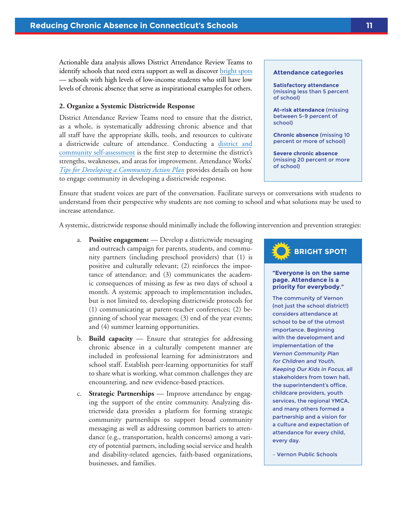<span id="page-13-0"></span>Actionable data analysis allows District Attendance Review Teams to identify schools that need extra support as well as discover [bright spots](http://www.attendanceworks.org/wordpress/wp-content/uploads/2013/10/Pos-Outliers-toolkit_final.pdf) — schools with high levels of low-income students who still have low levels of chronic absence that serve as inspirational examples for others.

#### **2. Organize a Systemic Districtwide Response**

District Attendance Review Teams need to ensure that the district, as a whole, is systematically addressing chronic absence and that all staff have the appropriate skills, tools, and resources to cultivate a districtwide culture of attendance. Conducting a [district and](http://www.attendanceworks.org/wordpress/wp-content/uploads/2016/08/District-Self-Assessment-Tool-5-Ingredients-8-7-2016.pdf)  [community self-assessment](http://www.attendanceworks.org/wordpress/wp-content/uploads/2016/08/District-Self-Assessment-Tool-5-Ingredients-8-7-2016.pdf) is the first step to determine the district's strengths, weaknesses, and areas for improvement. Attendance Works' *[Tips for Developing a Community Action Plan](http://www.attendanceworks.org/wordpress/wp-content/uploads/2016/08/Tips-For-Developing-Community-Action-Plan-8.9.16.pdf)* provides details on how to engage community in developing a districtwide response.

#### **Attendance categories**

**Satisfactory attendance** (missing less than 5 percent of school)

**At-risk attendance** (missing between 5-9 percent of school)

**Chronic absence** (missing 10 percent or more of school)

**Severe chronic absence**  (missing 20 percent or more of school)

Ensure that student voices are part of the conversation. Facilitate surveys or conversations with students to understand from their perspective why students are not coming to school and what solutions may be used to increase attendance.

A systemic, districtwide response should minimally include the following intervention and prevention strategies:

- a. **Positive engagemen**t Develop a districtwide messaging and outreach campaign for parents, students, and community partners (including preschool providers) that (1) is positive and culturally relevant; (2) reinforces the importance of attendance; and (3) communicates the academic consequences of missing as few as two days of school a month. A systemic approach to implementation includes, but is not limited to, developing districtwide protocols for (1) communicating at parent-teacher conferences; (2) beginning of school year messages; (3) end of the year events; and (4) summer learning opportunities.
- b. **Build capacity** Ensure that strategies for addressing chronic absence in a culturally competent manner are included in professional learning for administrators and school staff. Establish peer-learning opportunities for staff to share what is working, what common challenges they are encountering, and new evidence-based practices.
- c. **Strategic Partnerships** Improve attendance by engaging the support of the entire community. Analyzing districtwide data provides a platform for forming strategic community partnerships to support broad community messaging as well as addressing common barriers to attendance (e.g., transportation, health concerns) among a variety of potential partners, including social service and health and disability-related agencies, faith-based organizations, businesses, and families.

### **BRIGHT SPOT!**

#### **"Everyone is on the same page. Attendance is a priority for everybody."**

The community of Vernon (not just the school district!) considers attendance at school to be of the utmost importance. Beginning with the development and implementation of the Vernon Community Plan for Children and Youth, Keeping Our Kids in Focus, all stakeholders from town hall, the superintendent's office, childcare providers, youth services, the regional YMCA, and many others formed a partnership and a vision for a culture and expectation of attendance for every child, every day.

– Vernon Public Schools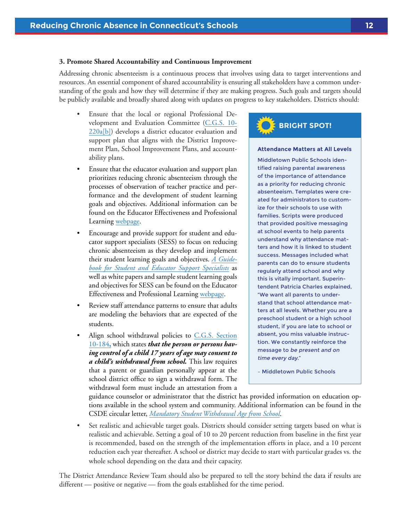#### <span id="page-14-0"></span>**3. Promote Shared Accountability and Continuous Improvement**

Addressing chronic absenteeism is a continuous process that involves using data to target interventions and resources. An essential component of shared accountability is ensuring all stakeholders have a common understanding of the goals and how they will determine if they are making progress. Such goals and targets should be publicly available and broadly shared along with updates on progress to key stakeholders. Districts should:

- Ensure that the local or regional Professional Development and Evaluation Committee [\(C.G.S. 10-](https://www.cga.ct.gov/current/pub/chap_170.htm#sec_10-220a) [220a\[b\]\)](https://www.cga.ct.gov/current/pub/chap_170.htm#sec_10-220a) develops a district educator evaluation and support plan that aligns with the District Improvement Plan, School Improvement Plans, and accountability plans.
- Ensure that the educator evaluation and support plan prioritizes reducing chronic absenteeism through the processes of observation of teacher practice and performance and the development of student learning goals and objectives. Additional information can be found on the Educator Effectiveness and Professional Learning [webpage.](http://www.connecticutseed.org/)
- Encourage and provide support for student and educator support specialists (SESS) to focus on reducing chronic absenteeism as they develop and implement their student learning goals and objectives. *[A Guide](http://www.connecticutseed.org/wp-content/uploads/2015/08/Navigating_Connecticuts_Eval_and_Support_Systems_for_SESS.pdf)[book for Student and Educator Support Specialists](http://www.connecticutseed.org/wp-content/uploads/2015/08/Navigating_Connecticuts_Eval_and_Support_Systems_for_SESS.pdf)* as well as white papers and sample student learning goals and objectives for SESS can be found on the Educator Effectiveness and Professional Learning [webpage](http://www.connecticutseed.org/?page_id=1966).
- Review staff attendance patterns to ensure that adults are modeling the behaviors that are expected of the students.
- Align school withdrawal policies to [C.G.S. Section](https://www.cga.ct.gov/current/pub/chap_168.htm#sec_10-184) [10-184](https://www.cga.ct.gov/current/pub/chap_168.htm#sec_10-184)**,** which states *that the person or persons having control of a child 17 years of age may consent to a child's withdrawal from school.* This law requires that a parent or guardian personally appear at the school district office to sign a withdrawal form. The withdrawal form must include an attestation from a

# **BRIGHT SPOT!**

#### **Attendance Matters at All Levels**

Middletown Public Schools identified raising parental awareness of the importance of attendance as a priority for reducing chronic absenteeism. Templates were created for administrators to customize for their schools to use with families. Scripts were produced that provided positive messaging at school events to help parents understand why attendance matters and how it is linked to student success. Messages included what parents can do to ensure students regularly attend school and why this is vitally important. Superintendent Patricia Charles explained, "We want all parents to understand that school attendance matters at all levels. Whether you are a preschool student or a high school student, if you are late to school or absent, you miss valuable instruction. We constantly reinforce the message to be present and on time every day."

– Middletown Public Schools

guidance counselor or administrator that the district has provided information on education options available in the school system and community. Additional information can be found in the CSDE circular letter, *[Mandatory Student Withdrawal Age from School](http://www.sde.ct.gov/sde/lib/sde/pdf/circ/circ11-12/c5.pdf)*.

• Set realistic and achievable target goals. Districts should consider setting targets based on what is realistic and achievable. Setting a goal of 10 to 20 percent reduction from baseline in the first year is recommended, based on the strength of the implementation efforts in place, and a 10 percent reduction each year thereafter. A school or district may decide to start with particular grades vs. the whole school depending on the data and their capacity.

The District Attendance Review Team should also be prepared to tell the story behind the data if results are different — positive or negative — from the goals established for the time period.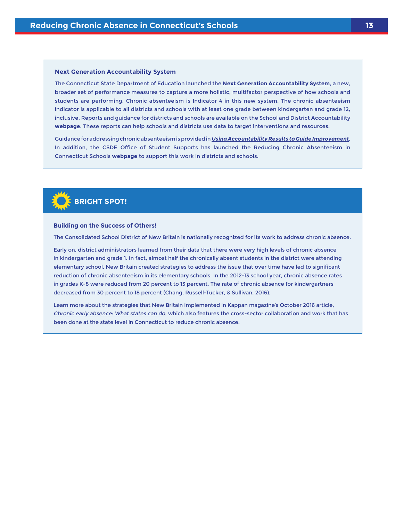#### **Next Generation Accountability System**

The Connecticut State Department of Education launched the **[Next Generation Accountability System](http://www.sde.ct.gov/sde/lib/sde/pdf/pressroom/ct_launches_next_generation_accountability_system_030216.pdf)**, a new, broader set of performance measures to capture a more holistic, multifactor perspective of how schools and students are performing. Chronic absenteeism is Indicator 4 in this new system. The chronic absenteeism indicator is applicable to all districts and schools with at least one grade between kindergarten and grade 12, inclusive. Reports and guidance for districts and schools are available on the School and District Accountability **[webpage](http://www.sde.ct.gov/sde/cwp/view.asp?a=2683&Q=334346.)**. These reports can help schools and districts use data to target interventions and resources.

Guidance for addressing chronic absenteeism is provided in**[Using Accountability Results to Guide Improvement](http://www.sde.ct.gov/sde/lib/sde/pdf/evalresearch/using_accountability_results_to_guide_improvement_20160228.pdf)**. In addition, the CSDE Office of Student Supports has launched the Reducing Chronic Absenteeism in Connecticut Schools **[webpage](http://www.sde.ct.gov/sde/cwp/view.asp?a=2678&Q=334924)** to support this work in districts and schools.



#### **Building on the Success of Others!**

The Consolidated School District of New Britain is nationally recognized for its work to address chronic absence.

Early on, district administrators learned from their data that there were very high levels of chronic absence in kindergarten and grade 1. In fact, almost half the chronically absent students in the district were attending elementary school. New Britain created strategies to address the issue that over time have led to significant reduction of chronic absenteeism in its elementary schools. In the 2012-13 school year, chronic absence rates in grades K-8 were reduced from 20 percent to 13 percent. The rate of chronic absence for kindergartners decreased from 30 percent to 18 percent (Chang, Russell-Tucker, & Sullivan, 2016).

Learn more about the strategies that New Britain implemented in Kappan magazine's October 2016 article, [Chronic early absence: What states can do](https://www.pdkmembers.org/members_online/publications/archive/pdf/PDK_98_2/22pdk_98_2.pdf), which also features the cross-sector collaboration and work that has been done at the state level in Connecticut to reduce chronic absence.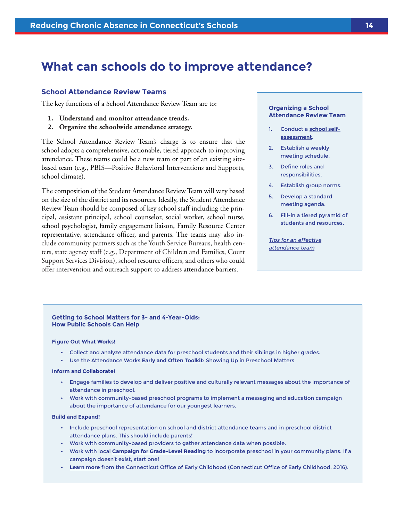### <span id="page-16-0"></span>**What can schools do to improve attendance?**

#### **School Attendance Review Teams**

The key functions of a School Attendance Review Team are to:

- **1. Understand and monitor attendance trends.**
- **2. Organize the schoolwide attendance strategy.**

The School Attendance Review Team's charge is to ensure that the school adopts a comprehensive, actionable, tiered approach to improving attendance. These teams could be a new team or part of an existing sitebased team (e.g., PBIS—Positive Behavioral Interventions and Supports, school climate).

The composition of the Student Attendance Review Team will vary based on the size of the district and its resources. Ideally, the Student Attendance Review Team should be composed of key school staff including the principal, assistant principal, school counselor, social worker, school nurse, school psychologist, family engagement liaison, Family Resource Center representative, attendance officer, and parents. The teams may also include community partners such as the Youth Service Bureaus, health centers, state agency staff (e.g., Department of Children and Families, Court Support Services Division), school resource officers, and others who could offer intervention and outreach support to address attendance barriers.

#### **Organizing a School Attendance Review Team**

- 1. Conduct a **[school self](http://www.attendanceworks.org/wordpress/wp-content/uploads/2014/04/District-and-Community-Self-Assessment-Tool-3-27-14.pdf)[assessment](http://www.attendanceworks.org/wordpress/wp-content/uploads/2014/04/District-and-Community-Self-Assessment-Tool-3-27-14.pdf)**.
- 2. Establish a weekly meeting schedule.
- 3. Define roles and responsibilities.
- 4. Establish group norms.
- 5. Develop a standard meeting agenda.
- 6. Fill-in a tiered pyramid of students and resources.
- [Tips for an effective](http://www.attendanceworks.org/wordpress/wp-content/uploads/2013/07/Attendance-Data-Teams-7-18-13.pdf) [attendance team](http://www.attendanceworks.org/wordpress/wp-content/uploads/2013/07/Attendance-Data-Teams-7-18-13.pdf)

#### **Getting to School Matters for 3- and 4-Year-Olds: How Public Schools Can Help**

#### **Figure Out What Works!**

- Collect and analyze attendance data for preschool students and their siblings in higher grades.
- Use the Attendance Works **[Early and Often Toolkit](http://www.attendanceworks.org/early-often-toolkit-showing-preschool-matters/)**: Showing Up in Preschool Matters

#### **Inform and Collaborate!**

- Engage families to develop and deliver positive and culturally relevant messages about the importance of attendance in preschool.
- Work with community-based preschool programs to implement a messaging and education campaign about the importance of attendance for our youngest learners.

#### **Build and Expand!**

- Include preschool representation on school and district attendance teams and in preschool district attendance plans. This should include parents!
- Work with community-based providers to gather attendance data when possible.
- Work with local **[Campaign for Grade-Level Reading](http://www.gradelevelreading.net)** to incorporate preschool in your community plans. If a campaign doesn't exist, start one!
- **• [Learn more](http://www.ct.gov/oec/cwp/view.asp?Q=581998&A=4545)** from the Connecticut Office of Early Childhood (Connecticut Office of Early Childhood, 2016).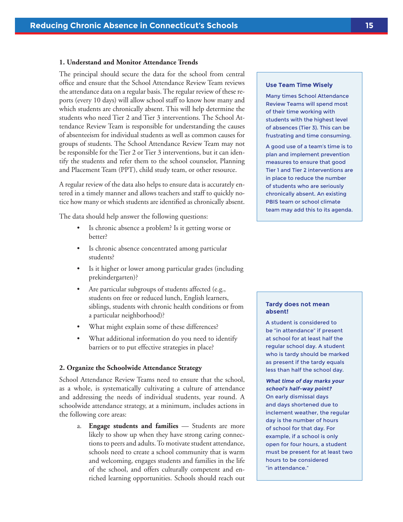#### <span id="page-17-0"></span>**1. Understand and Monitor Attendance Trends**

The principal should secure the data for the school from central office and ensure that the School Attendance Review Team reviews the attendance data on a regular basis. The regular review of these reports (every 10 days) will allow school staff to know how many and which students are chronically absent. This will help determine the students who need Tier 2 and Tier 3 interventions. The School Attendance Review Team is responsible for understanding the causes of absenteeism for individual students as well as common causes for groups of students. The School Attendance Review Team may not be responsible for the Tier 2 or Tier 3 interventions, but it can identify the students and refer them to the school counselor, Planning and Placement Team (PPT), child study team, or other resource.

A regular review of the data also helps to ensure data is accurately entered in a timely manner and allows teachers and staff to quickly notice how many or which students are identified as chronically absent.

The data should help answer the following questions:

- Is chronic absence a problem? Is it getting worse or better?
- Is chronic absence concentrated among particular students?
- Is it higher or lower among particular grades (including prekindergarten)?
- Are particular subgroups of students affected (e.g., students on free or reduced lunch, English learners, siblings, students with chronic health conditions or from a particular neighborhood)?
- What might explain some of these differences?
- What additional information do you need to identify barriers or to put effective strategies in place?

#### **2. Organize the Schoolwide Attendance Strategy**

School Attendance Review Teams need to ensure that the school, as a whole, is systematically cultivating a culture of attendance and addressing the needs of individual students, year round. A schoolwide attendance strategy, at a minimum, includes actions in the following core areas:

a. **Engage students and families** — Students are more likely to show up when they have strong caring connections to peers and adults. To motivate student attendance, schools need to create a school community that is warm and welcoming, engages students and families in the life of the school, and offers culturally competent and enriched learning opportunities. Schools should reach out

#### **Use Team Time Wisely**

Many times School Attendance Review Teams will spend most of their time working with students with the highest level of absences (Tier 3). This can be frustrating and time consuming.

A good use of a team's time is to plan and implement prevention measures to ensure that good Tier 1 and Tier 2 interventions are in place to reduce the number of students who are seriously chronically absent. An existing PBIS team or school climate team may add this to its agenda.

#### **Tardy does not mean absent!**

A student is considered to be "in attendance" if present at school for at least half the regular school day. A student who is tardy should be marked as present if the tardy equals less than half the school day.

**What time of day marks your school's half-way point?** On early dismissal days and days shortened due to inclement weather, the regular day is the number of hours of school for that day. For example, if a school is only open for four hours, a student must be present for at least two hours to be considered "in attendance."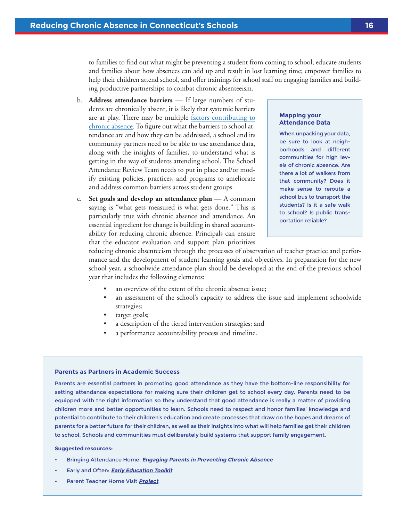to families to find out what might be preventing a student from coming to school; educate students and families about how absences can add up and result in lost learning time; empower families to help their children attend school, and offer trainings for school staff on engaging families and building productive partnerships to combat chronic absenteeism.

- b. **Address attendance barriers** If large numbers of students are chronically absent, it is likely that systemic barriers are at play. There may be multiple [factors contributing to](http://www.attendanceworks.org/what-works/develop-programmatic-responses-to-systemic-barriers/) [chronic absence.](http://www.attendanceworks.org/what-works/develop-programmatic-responses-to-systemic-barriers/) To figure out what the barriers to school attendance are and how they can be addressed, a school and its community partners need to be able to use attendance data, along with the insights of families, to understand what is getting in the way of students attending school. The School Attendance Review Team needs to put in place and/or modify existing policies, practices, and programs to ameliorate and address common barriers across student groups.
- c. **Set goals and develop an attendance plan** A common saying is "what gets measured is what gets done." This is particularly true with chronic absence and attendance. An essential ingredient for change is building in shared accountability for reducing chronic absence. Principals can ensure that the educator evaluation and support plan prioritizes

#### **Mapping your Attendance Data**

When unpacking your data, be sure to look at neighborhoods and different communities for high levels of chronic absence. Are there a lot of walkers from that community? Does it make sense to reroute a school bus to transport the students? Is it a safe walk to school? Is public transportation reliable?

reducing chronic absenteeism through the processes of observation of teacher practice and performance and the development of student learning goals and objectives. In preparation for the new school year, a schoolwide attendance plan should be developed at the end of the previous school year that includes the following elements:

- an overview of the extent of the chronic absence issue;
- an assessment of the school's capacity to address the issue and implement schoolwide strategies;
- target goals;
- a description of the tiered intervention strategies; and
- a performance accountability process and timeline.

#### **Parents as Partners in Academic Success**

Parents are essential partners in promoting good attendance as they have the bottom-line responsibility for setting attendance expectations for making sure their children get to school every day. Parents need to be equipped with the right information so they understand that good attendance is really a matter of providing children more and better opportunities to learn. Schools need to respect and honor families' knowledge and potential to contribute to their children's education and create processes that draw on the hopes and dreams of parents for a better future for their children, as well as their insights into what will help families get their children to school. Schools and communities must deliberately build systems that support family engagement.

#### **Suggested resources:**

- Bringing Attendance Home: **[Engaging Parents in Preventing Chronic Absence](http://www.attendanceworks.org/tools/for-parents/bringing-attendance-home-toolkit/)**
- Early and Often: **[Early Education Toolkit](http://www.attendanceworks.org/tools/for-early-care-providers/early-education-toolkit/)**
- Parent Teacher Home Visit **[Project](http://www.pthvp.org/)**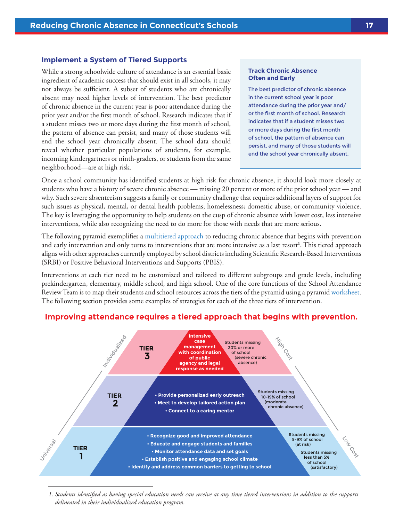#### <span id="page-19-0"></span>**Implement a System of Tiered Supports**

While a strong schoolwide culture of attendance is an essential basic ingredient of academic success that should exist in all schools, it may not always be sufficient. A subset of students who are chronically absent may need higher levels of intervention. The best predictor of chronic absence in the current year is poor attendance during the prior year and/or the first month of school. Research indicates that if a student misses two or more days during the first month of school, the pattern of absence can persist, and many of those students will end the school year chronically absent. The school data should reveal whether particular populations of students, for example, incoming kindergartners or ninth-graders, or students from the same neighborhood—are at high risk.

#### **Track Chronic Absence Often and Early**

The best predictor of chronic absence in the current school year is poor attendance during the prior year and/ or the first month of school. Research indicates that if a student misses two or more days during the first month of school, the pattern of absence can persist, and many of those students will end the school year chronically absent.

Once a school community has identified students at high risk for chronic absence, it should look more closely at students who have a history of severe chronic absence — missing 20 percent or more of the prior school year — and why. Such severe absenteeism suggests a family or community challenge that requires additional layers of support for such issues as physical, mental, or dental health problems; homelessness; domestic abuse; or community violence. The key is leveraging the opportunity to help students on the cusp of chronic absence with lower cost, less intensive interventions, while also recognizing the need to do more for those with needs that are more serious.

The following pyramid exemplifies a [multitiered approach](http://www.attendanceworks.org/tools/schools/3-tiers-of-intervention/) to reducing chronic absence that begins with prevention and early intervention and only turns to interventions that are more intensive as a last resort**<sup>1</sup>** . This tiered approach aligns with other approaches currently employed by school districts including Scientific Research-Based Interventions (SRBI) or Positive Behavioral Interventions and Supports (PBIS).

Interventions at each tier need to be customized and tailored to different subgroups and grade levels, including prekindergarten, elementary, middle school, and high school. One of the core functions of the School Attendance Review Team is to map their students and school resources across the tiers of the pyramid using a pyramid [worksheet](http://www.attendanceworks.org/wordpress/wp-content/uploads/2015/07/Pyramid-worksheet_updated-2016.pdf). The following section provides some examples of strategies for each of the three tiers of intervention.



#### **Improving attendance requires a tiered approach that begins with prevention.**

*1. Students identified as having special education needs can receive at any time tiered interventions in addition to the supports delineated in their individualized education program.*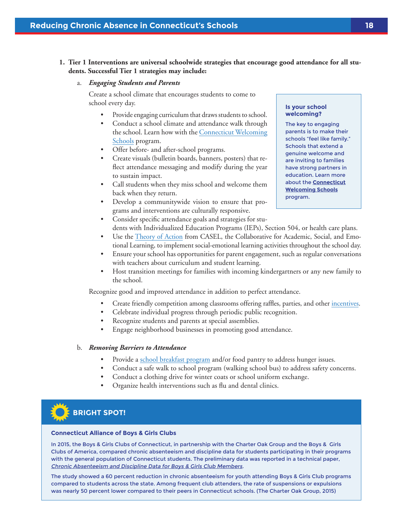#### <span id="page-20-0"></span>**1. Tier 1 Interventions are universal schoolwide strategies that encourage good attendance for all students. Successful Tier 1 strategies may include:**

#### a. *Engaging Students and Parents*

Create a school climate that encourages students to come to school every day.

- Provide engaging curriculum that draws students to school.
- Conduct a school climate and attendance walk through the school. Learn how with the [Connecticut Welcoming](http://www.crec.org/welcomingschools/) [Schools](http://www.crec.org/welcomingschools/) program.
- Offer before- and after-school programs.
- Create visuals (bulletin boards, banners, posters) that reflect attendance messaging and modify during the year to sustain impact.
- Call students when they miss school and welcome them back when they return.
- Develop a communitywide vision to ensure that programs and interventions are culturally responsive.

• Consider specific attendance goals and strategies for stu-

**Is your school welcoming?** 

The key to engaging parents is to make their schools "feel like family." Schools that extend a genuine welcome and are inviting to families have strong partners in education. Learn more about the **[Connecticut](http://www.crec.org/welcomingschools/) [Welcoming Schools](http://www.crec.org/welcomingschools/)** program.

- dents with Individualized Education Programs (IEPs), Section 504, or health care plans. Use the [Theory of Action](http://www.casel.org/wp-content/uploads/2016/09/Theory-of-Action-CDI-District-Rubric.pdf) from CASEL, the Collaborative for Academic, Social, and Emo-
- tional Learning, to implement social-emotional learning activities throughout the school day.
- Ensure your school has opportunities for parent engagement, such as regular conversations with teachers about curriculum and student learning.
- Host transition meetings for families with incoming kindergartners or any new family to the school.

Recognize good and improved attendance in addition to perfect attendance.

- Create friendly competition among classrooms offering raffles, parties, and other [incentives](http://www.attendanceworks.org/wordpress/wp-content/uploads/2015/07/Establishing-School-wide-attendance-incentives-rev-7-14-15.pdf).
- Celebrate individual progress through periodic public recognition.
- Recognize students and parents at special assemblies.
- Engage neighborhood businesses in promoting good attendance.

#### b. *Removing Barriers to Attendance*

- Provide a [school breakfast program](http://www.sde.ct.gov/sde/cwp/view.asp?a=2626&q=320662) and/or food pantry to address hunger issues.
- Conduct a safe walk to school program (walking school bus) to address safety concerns.
- Conduct a clothing drive for winter coats or school uniform exchange.
- Organize health interventions such as flu and dental clinics.

### **BRIGHT SPOT!**

#### **Connecticut Alliance of Boys & Girls Clubs**

In 2015, the Boys & Girls Clubs of Connecticut, in partnership with the Charter Oak Group and the Boys & Girls Clubs of America, compared chronic absenteeism and discipline data for students participating in their programs with the general population of Connecticut students. The preliminary data was reported in a technical paper, [Chronic Absenteeism and Discipline Data for Boys & Girls Club Members](http://charteroakgroup.com/projects/Chronic%20Absenteeism%20and%20disciplineanalyses2.23.2017.pdf).

The study showed a 60 percent reduction in chronic absenteeism for youth attending Boys & Girls Club programs compared to students across the state. Among frequent club attenders, the rate of suspensions or expulsions was nearly 50 percent lower compared to their peers in Connecticut schools. (The Charter Oak Group, 2015)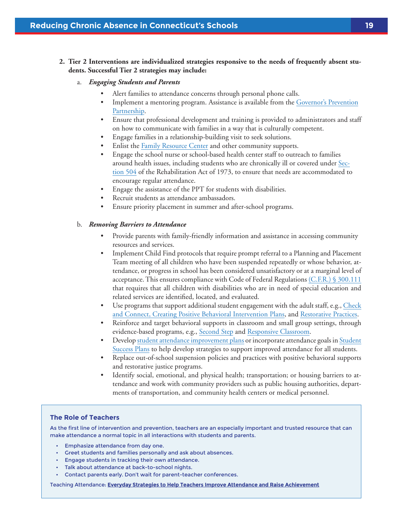#### <span id="page-21-0"></span>**2. Tier 2 Interventions are individualized strategies responsive to the needs of frequently absent students. Successful Tier 2 strategies may include:**

- a. *Engaging Students and Parents* 
	- Alert families to attendance concerns through personal phone calls.
	- Implement a mentoring program. Assistance is available from the [Governor's Prevention](http://www.preventionworksct.org/welcome.html) [Partnership](http://www.preventionworksct.org/welcome.html).
	- Ensure that professional development and training is provided to administrators and staff on how to communicate with families in a way that is culturally competent.
	- Engage families in a relationship-building visit to seek solutions.
	- Enlist the Family Resource Center and other community supports.
	- Engage the school nurse or school-based health center staff to outreach to families around health issues, including students who are chronically ill or covered under [Sec](http://www2.ed.gov/about/offices/list/ocr/504faq.html)[tion 504](http://www2.ed.gov/about/offices/list/ocr/504faq.html) of the Rehabilitation Act of 1973, to ensure that needs are accommodated to encourage regular attendance.
	- Engage the assistance of the PPT for students with disabilities.
	- Recruit students as attendance ambassadors.
	- Ensure priority placement in summer and after-school programs.

#### b. *Removing Barriers to Attendance*

- Provide parents with family-friendly information and assistance in accessing community resources and services.
- Implement Child Find protocols that require prompt referral to a Planning and Placement Team meeting of all children who have been suspended repeatedly or whose behavior, attendance, or progress in school has been considered unsatisfactory or at a marginal level of acceptance. This ensures compliance with Code of Federal Regulations [\(C.F.R.\) § 300.111](http://www.wrightslaw.com/idea/law/idea.regs.subpartb.pdf) that requires that all children with disabilities who are in need of special education and related services are identified, located, and evaluated.
- Use programs that support additional student engagement with the adult staff, e.g., [Check](http://evidencebasedprograms.org/1366-2/check-and-connect) [and Connect](http://evidencebasedprograms.org/1366-2/check-and-connect), [Creating Positive Behavioral Intervention Plans](http://cecp.air.org/fba/problembehavior3/part3.pdf), and [Restorative Practices.](http://www.iirp.edu/)
- Reinforce and target behavioral supports in classroom and small group settings, through evidence-based programs, e.g., [Second Step](http://www.cfchildren.org/second-step) and [Responsive Classroom](https://www.responsiveclassroom.org/).
- Develop [student attendance improvement plans](http://www.attendanceworks.org/tools/for-parents/student-success-plan-facilitator-handout/) or incorporate attendance goals in [Student](http://www.sde.ct.gov/sde/cwp/view.asp?a=2702&Q=334064)  [Success Plans](http://www.sde.ct.gov/sde/cwp/view.asp?a=2702&Q=334064) to help develop strategies to support improved attendance for all students.
- Replace out-of-school suspension policies and practices with positive behavioral supports and restorative justice programs.
- Identify social, emotional, and physical health; transportation; or housing barriers to attendance and work with community providers such as public housing authorities, departments of transportation, and community health centers or medical personnel.

#### **The Role of Teachers**

As the first line of intervention and prevention, teachers are an especially important and trusted resource that can make attendance a normal topic in all interactions with students and parents.

- Emphasize attendance from day one.
- Greet students and families personally and ask about absences.
- Engage students in tracking their own attendance.
- Talk about attendance at back-to-school nights.
- Contact parents early. Don't wait for parent-teacher conferences.

Teaching Attendance: **Everyday Strategies [to Help Teachers Improve Attendance and Raise Achievement](http://www.attendanceworks.org/tools/schools/teaching-attendance-toolkit/)**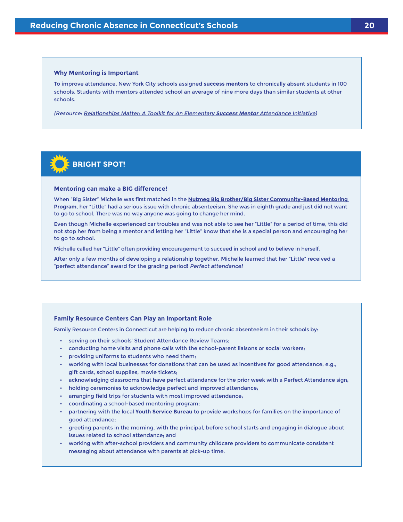#### **Why Mentoring is Important**

To improve attendance, New York City schools assigned **[success mentors](http://www.nyc.gov/html/truancy/html/resources/success_mentors.shtml)** to chronically absent students in 100 schools. Students with mentors attended school an average of nine more days than similar students at other schools.

(Resource: [Relationships Matter: A Toolkit for An Elementary](http://www.attendanceworks.org/tools/for-school-districts/elemsuccessmentortoolkit) **Success Mentor** Attendance Initiative)



#### **Mentoring can make a BIG difference!**

When "Big Sister" Michelle was first matched in the **[Nutmeg Big Brother/Big Sister Community-Based Mentoring](http://www.nutmegbigbrothersbigsisters.org/site/c.ckLVKdOOLiK8E/b.7884443/k.EF0A/Home_Page.htm)  [Program](http://www.nutmegbigbrothersbigsisters.org/site/c.ckLVKdOOLiK8E/b.7884443/k.EF0A/Home_Page.htm)**, her "Little" had a serious issue with chronic absenteeism. She was in eighth grade and just did not want to go to school. There was no way anyone was going to change her mind.

Even though Michelle experienced car troubles and was not able to see her "Little" for a period of time, this did not stop her from being a mentor and letting her "Little" know that she is a special person and encouraging her to go to school.

Michelle called her "Little" often providing encouragement to succeed in school and to believe in herself.

After only a few months of developing a relationship together, Michelle learned that her "Little" received a "perfect attendance" award for the grading period! Perfect attendance!

#### **Family Resource Centers Can Play an Important Role**

Family Resource Centers in Connecticut are helping to reduce chronic absenteeism in their schools by:

- serving on their schools' Student Attendance Review Teams;
- conducting home visits and phone calls with the school-parent liaisons or social workers;
- providing uniforms to students who need them;
- working with local businesses for donations that can be used as incentives for good attendance, e.g., gift cards, school supplies, movie tickets;
- acknowledging classrooms that have perfect attendance for the prior week with a Perfect Attendance sign;
- holding ceremonies to acknowledge perfect and improved attendance;
- arranging field trips for students with most improved attendance;
- coordinating a school-based mentoring program;
- partnering with the local **[Youth Service Bureau](http://www.ctyouthservices.org/)** to provide workshops for families on the importance of good attendance;
- greeting parents in the morning, with the principal, before school starts and engaging in dialogue about issues related to school attendance; and
- working with after-school providers and community childcare providers to communicate consistent messaging about attendance with parents at pick-up time.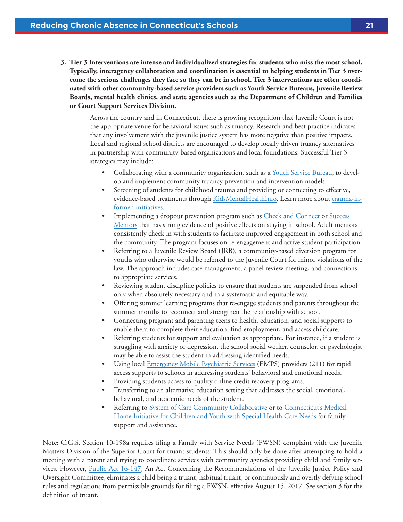<span id="page-23-0"></span>**3. Tier 3 Interventions are intense and individualized strategies for students who miss the most school. Typically, interagency collaboration and coordination is essential to helping students in Tier 3 overcome the serious challenges they face so they can be in school. Tier 3 interventions are often coordinated with other community-based service providers such as Youth Service Bureaus, Juvenile Review Boards, mental health clinics, and state agencies such as the Department of Children and Families or Court Support Services Division.** 

Across the country and in Connecticut, there is growing recognition that Juvenile Court is not the appropriate venue for behavioral issues such as truancy. Research and best practice indicates that any involvement with the juvenile justice system has more negative than positive impacts. Local and regional school districts are encouraged to develop locally driven truancy alternatives in partnership with community-based organizations and local foundations. Successful Tier 3 strategies may include:

- Collaborating with a community organization, such as a **Youth Service Bureau**, to develop and implement community truancy prevention and intervention models.
- Screening of students for childhood trauma and providing or connecting to effective, evidence-based treatments through [KidsMentalHealthInfo](http://www.KidsMentalHealthInfo.com). Learn more about [trauma-in](http://www.chdi.org/our-work/mental-health/trauma-informed-initiatives/)[formed initiatives](http://www.chdi.org/our-work/mental-health/trauma-informed-initiatives/).
- Implementing a dropout prevention program such as [Check and Connect](http://evidencebasedprograms.org/1366-2/check-and-connect) or [Success](http://www.ed.gov/news/press-releases/fact-sheet-white-house-launches-new-national-effort-and-ad-council-campaign-eliminate-chronic-absenteeism-and-drive-student-success)  [Mentors](http://www.ed.gov/news/press-releases/fact-sheet-white-house-launches-new-national-effort-and-ad-council-campaign-eliminate-chronic-absenteeism-and-drive-student-success) that has strong evidence of positive effects on staying in school. Adult mentors consistently check in with students to facilitate improved engagement in both school and the community. The program focuses on re-engagement and active student participation.
- Referring to a Juvenile Review Board (JRB), a community-based diversion program for youths who otherwise would be referred to the Juvenile Court for minor violations of the law. The approach includes case management, a panel review meeting, and connections to appropriate services.
- Reviewing student discipline policies to ensure that students are suspended from school only when absolutely necessary and in a systematic and equitable way.
- Offering summer learning programs that re-engage students and parents throughout the summer months to reconnect and strengthen the relationship with school.
- Connecting pregnant and parenting teens to health, education, and social supports to enable them to complete their education, find employment, and access childcare.
- Referring students for support and evaluation as appropriate. For instance, if a student is struggling with anxiety or depression, the school social worker, counselor, or psychologist may be able to assist the student in addressing identified needs.
- Using local [Emergency Mobile Psychiatric Services](http://www.empsct.org/) (EMPS) providers (211) for rapid access supports to schools in addressing students' behavioral and emotional needs.
- Providing students access to quality online credit recovery programs.
- Transferring to an alternative education setting that addresses the social, emotional, behavioral, and academic needs of the student.
- Referring to [System of Care Community Collaborative](http://www.ct.gov/dcf/cwp/view.asp?a=2558&Q=314350) or to [Connecticut's Medical](http://www.ct.gov/dph/cwp/view.asp?a=3138&Q=387702&PM=1) [Home Initiative for Children and Youth with Special Health Care Needs](http://www.ct.gov/dph/cwp/view.asp?a=3138&Q=387702&PM=1) for family support and assistance.

Note: C.G.S. Section 10-198a requires filing a Family with Service Needs (FWSN) complaint with the Juvenile Matters Division of the Superior Court for truant students. This should only be done after attempting to hold a meeting with a parent and trying to coordinate services with community agencies providing child and family services. However, [Public Act 16-147](https://www.cga.ct.gov/2016/ACT/pa/2016PA-00147-R00HB-05642-PA.htm), An Act Concerning the Recommendations of the Juvenile Justice Policy and Oversight Committee, eliminates a child being a truant, habitual truant, or continuously and overtly defying school rules and regulations from permissible grounds for filing a FWSN, effective August 15, 2017. See section 3 for the definition of truant.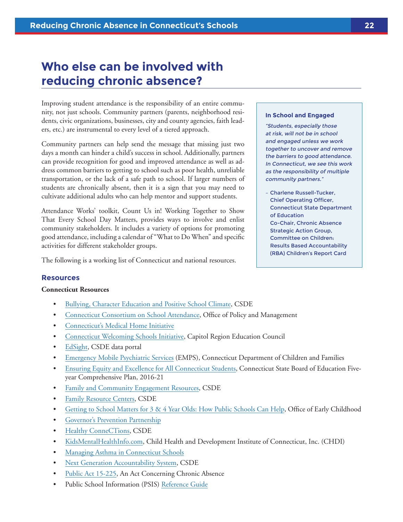### <span id="page-24-0"></span>**Who else can be involved with reducing chronic absence?**

Improving student attendance is the responsibility of an entire community, not just schools. Community partners (parents, neighborhood residents, civic organizations, businesses, city and county agencies, faith leaders, etc.) are instrumental to every level of a tiered approach.

Community partners can help send the message that missing just two days a month can hinder a child's success in school. Additionally, partners can provide recognition for good and improved attendance as well as address common barriers to getting to school such as poor health, unreliable transportation, or the lack of a safe path to school. If larger numbers of students are chronically absent, then it is a sign that you may need to cultivate additional adults who can help mentor and support students.

Attendance Works' toolkit, Count Us in! Working Together to Show That Every School Day Matters, provides ways to involve and enlist community stakeholders. It includes a variety of options for promoting good attendance, including a calendar of "What to Do When" and specific activities for different stakeholder groups.

The following is a working list of Connecticut and national resources.

#### **In School and Engaged**

"Students, especially those at risk, will not be in school and engaged unless we work together to uncover and remove the barriers to good attendance. In Connecticut, we see this work as the responsibility of multiple community partners."

– Charlene Russell-Tucker, Chief Operating Officer, Connecticut State Department of Education Co-Chair, Chronic Absence Strategic Action Group, Committee on Children: Results Based Accountability (RBA) Children's Report Card

#### **Resources**

#### **Connecticut Resources**

- [Bullying, Character Education and Positive School Climate,](http://www.sde.ct.gov/sde/cwp/view.asp?a=2681&Q=321940&sdePNavCtr=%7C45491%7C#45524) CSDE
- [Connecticut Consortium on School Attendance,](http://ct.gov/opm/cwp/view.asp?a=2974&q=383642#SAConsortium) Office of Policy and Management
- [Connecticut's Medical Home Initiative](http://www.ct.gov/dph/cwp/view.asp?a=3138&Q=387702&PM=1)
- [Connecticut Welcoming Schools Initiative](http://www.crec.org/welcomingschools/), Capitol Region Education Council
- [EdSight,](http://edsight.ct.gov/SASPortal/main.do) CSDE data portal
- [Emergency Mobile Psychiatric Services](http://www.empsct.org/) (EMPS), Connecticut Department of Children and Families
- [Ensuring Equity and Excellence for All Connecticut Students](http://www.sde.ct.gov/sde/cwp/view.asp?a=2748&q=336170), Connecticut State Board of Education Fiveyear Comprehensive Plan, 2016-21
- [Family and Community Engagement Resources](http://www.sde.ct.gov/sde/taxonomy/v4_taxonomy.asp?DLN=45424&sdeNav=%7C45424%7C&sdePNavCtr=%7C45493%7C#45493), CSDE
- [Family Resource Centers,](http://www.sde.ct.gov/sde/cwp/view.asp?a=2678&q=320774&sdePNavCtr=%7C45493%7C#45541) CSDE
- [Getting to School Matters for 3 & 4 Year Olds: How Public Schools Can Help](http://www.sde.ct.gov/sde/lib/sde/pdf/deps/chronicabsenteeism/getting_to_school_matters_oec.pdf), Office of Early Childhood
- [Governor's Prevention Partnership](http://www.preventionworksct.org/what/mentoring/introduction.html)
- [Healthy ConneCTions,](http://www.ct.gov/sde/healthyconnections) CSDE
- [KidsMentalHealthInfo.com,](http://www.KidsMentalHealthInfo.com) Child Health and Development Institute of Connecticut, Inc. (CHDI)
- [Managing Asthma in Connecticut Schools](http://www.ct.gov/dph/lib/dph/hems/asthma/pdf/asthma_schl_manual_web.pdf)
- [Next Generation Accountability System](http://www.sde.ct.gov/sde/cwp/view.asp?a=2758&Q=334520), CSDE
- [Public Act 15-225,](https://www.cga.ct.gov/2015/ACT/pa/pdf/2015PA-00225-R00SB-01058-PA.pdf) An Act Concerning Chronic Absence
- Public School Information (PSIS) [Reference Guide](http://www.csde.state.ct.us/public/psis/downloads/2016-17_PSIS_Record_Layout.pdf)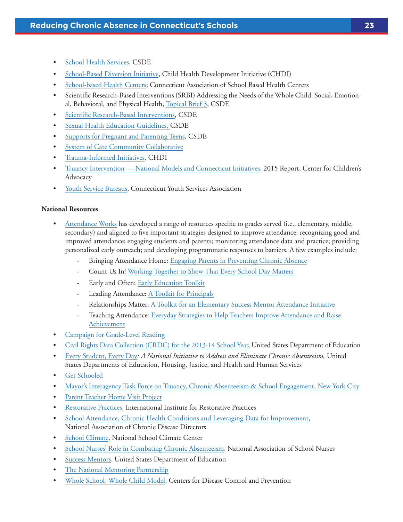- [School Health Services,](http://www.sde.ct.gov/sde/cwp/view.asp?a=2678&q=320768) CSDE
- [School-Based Diversion Initiative,](http://www.chdi.org/our-work/mental-health/school-based-mental-health/sbdi/) Child Health Development Initiative (CHDI)
- [School-based Health Centers](http://www.ctschoolhealth.org/); Connecticut Association of School Based Health Centers
- Scientific Research-Based Interventions (SRBI) Addressing the Needs of the Whole Child: Social, Emotional, Behavioral, and Physical Health, [Topical Brief 3,](http://www.sde.ct.gov/sde/lib/sde/pdf/curriculum/cali/topical_brief_3.pdf) CSDE
- [Scientific Research-Based Interventions,](http://www.sde.ct.gov/sde/cwp/view.asp?a=2618&q=322020) CSDE
- [Sexual Health Education Guidelines](http://www.sde.ct.gov/sde/cwp/view.asp?a=2618&q=333710), CSDE
- [Supports for Pregnant and Parenting Teens,](http://www.sde.ct.gov/sde/cwp/view.asp?a=2678&Q=334262&sdePNavCtr=%7C45493%7C#45822) CSDE
- [System of Care Community Collaborative](http://www.ct.gov/dcf/cwp/view.asp?a=2558&Q=314350)
- [Trauma-Informed Initiatives,](http://www.chdi.org/our-work/mental-health/trauma-informed-initiatives/) CHDI
- [Truancy Intervention National Models and Connecticut Initiatives](http://www.kidscounsel.org/wp-content/uploads/2012/06/rKM-Truancy-Programs-book-2015-R.pdf), 2015 Report, Center for Children's Advocacy
- [Youth Service Bureaus,](http://www.sde.ct.gov/sde/cwp/view.asp?a=2678&q=320714&sdePNavCtr=%7C45493%7C#45546) Connecticut Youth Services Association

#### **National Resources**

- [Attendance Works](http://www.attendanceworks.org) has developed a range of resources specific to grades served (i.e., elementary, middle, secondary) and aligned to five important strategies designed to improve attendance: recognizing good and improved attendance; engaging students and parents; monitoring attendance data and practice; providing personalized early outreach; and developing programmatic responses to barriers. A few examples include:
	- Bringing Attendance Home: [Engaging Parents in Preventing Chronic Absence](http://www.attendanceworks.org/tools/for-parents/bringing-attendance-home-toolkit/)
	- Count Us In! [Working Together to Show That Every School Day Matters](http://awareness.attendanceworks.org/wp-content/uploads/Count-Us-In-toolkit-2015_Final.pdf)
	- Early and Often: [Early Education Toolkit](http://www.attendanceworks.org/tools/for-early-care-providers/early-education-toolkit/)
	- Leading Attendance: [A Toolkit for Principals](http://www.attendanceworks.org/tools/schools/principals/)
	- Relationships Matter: [A Toolkit for an Elementary Success Mentor Attendance Initiative](http://www.attendanceworks.org/tools/for-school-districts/elemsuccessmentortoolkit)
	- Teaching Attendance: [Everyday Strategies to Help Teachers Improve Attendance and Raise](http://www.attendanceworks.org/tools/schools/teaching-attendance-toolkit/) [Achievement](http://www.attendanceworks.org/tools/schools/teaching-attendance-toolkit/)
- [Campaign for Grade-Level Reading](http://gradelevelreading.net/)
- [Civil Rights Data Collection \(CRDC\) for the 2013-14 School Year,](http://www.attendanceworks.org/research/u-s-department-education-civil-rights-data-collection/) United States Department of Education
- [Every Student, Every Day](http://www2.ed.gov/about/inits/ed/chronicabsenteeism/index.html)*: A National Initiative to Address and Eliminate Chronic Absenteeism,* United States Departments of Education, Housing, Justice, and Health and Human Services
- [Get Schooled](https://getschooled.com/dashboard?q=attendance)
- [Mayor's Interagency Task Force on Truancy, Chronic Absenteeism & School Engagement, New York City](http://www.nyc.gov/html/truancy/html/resources/success_mentors.shtml)
- [Parent Teacher Home Visit Project](http://www.pthvp.org/)
- [Restorative Practices, International Institute for Restorative Practices](http://www.attendanceworks.org/tools/for-school-districts/elemsuccessmentortoolkit)
- [School Attendance, Chronic Health Conditions and Leveraging Data for Improvement,](http://c.ymcdn.com/sites/www.chronicdisease.org/resource/resmgr/school_health/NACDD_School_Attendance_and_.pdf) National Association of Chronic Disease Directors
- [School Climate,](http://www.schoolclimate.org/) National School Climate Center
- [School Nurses' Role in Combating Chronic Absenteeism](https://www.nasn.org/portals/0/advocacy/whitepaperabsenteeism.pdf), National Association of School Nurses
- [Success Mentors,](http://www.ed.gov/news/press-releases/fact-sheet-white-house-launches-new-national-effort-and-ad-council-campaign-eliminate-chronic-absenteeism-and-drive-student-success) United States Department of Education
- [The National Mentoring Partnership](http://www.mentoring.org)
- [Whole School, Whole Child Model,](https://www.cdc.gov/healthyyouth/wscc/) Centers for Disease Control and Prevention